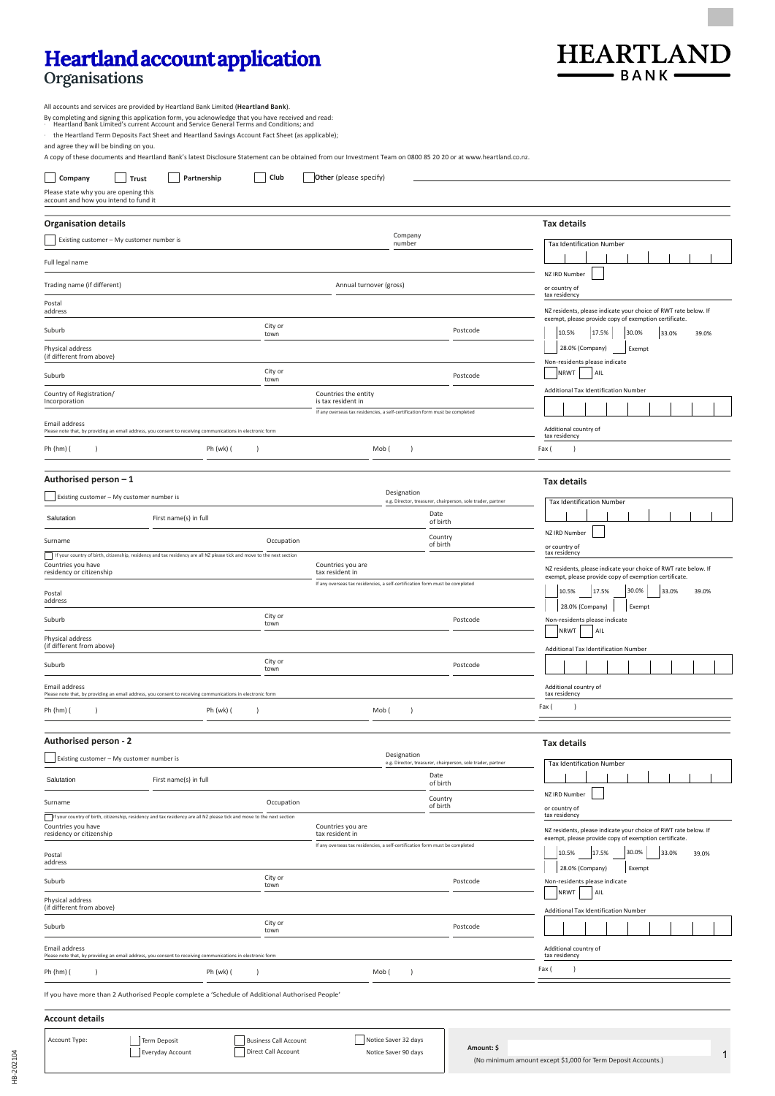## **Heartland account application**

## **Organisations**



All accounts and services are provided by Heartland Bank Limited (**Heartland Bank**).

By completing and signing this application form, you acknowledge that you have received and read:<br>· Heartland Bank Limited's current Account and Service General Terms and Conditions; and

· the Heartland Term Deposits Fact Sheet and Heartland Savings Account Fact Sheet (as applicable);

and agree they will be binding on you.

A copy of these documents and Heartland Bank's latest Disclosure Statement can be obtained from our Investment Team on 0800 85 20 20 or at www.heartland.co.nz.

Business Call Account

Term Deposit

Everyday Account

| Company<br>Trust<br>Please state why you are opening this<br>account and how you intend to fund it | Partnership                                                                                                            | Club            | Other (please specify)                                                                          |                    |                                                             |                                                                                                                          |
|----------------------------------------------------------------------------------------------------|------------------------------------------------------------------------------------------------------------------------|-----------------|-------------------------------------------------------------------------------------------------|--------------------|-------------------------------------------------------------|--------------------------------------------------------------------------------------------------------------------------|
| <b>Organisation details</b>                                                                        |                                                                                                                        |                 |                                                                                                 |                    |                                                             | <b>Tax details</b>                                                                                                       |
| Existing customer - My customer number is                                                          |                                                                                                                        |                 |                                                                                                 | Company<br>number  |                                                             | Tax Identification Number                                                                                                |
| Full legal name                                                                                    |                                                                                                                        |                 |                                                                                                 |                    |                                                             |                                                                                                                          |
|                                                                                                    |                                                                                                                        |                 |                                                                                                 |                    |                                                             | NZ IRD Number                                                                                                            |
| Trading name (if different)                                                                        |                                                                                                                        |                 | Annual turnover (gross)                                                                         |                    |                                                             | or country of<br>tax residency                                                                                           |
| Postal<br>address                                                                                  |                                                                                                                        |                 |                                                                                                 |                    |                                                             | NZ residents, please indicate your choice of RWT rate below. If<br>exempt, please provide copy of exemption certificate. |
| Suburb                                                                                             |                                                                                                                        | City or<br>town |                                                                                                 |                    | Postcode                                                    | 17.5%<br>30.0%<br>10.5%<br>33.0%<br>39.0%                                                                                |
| Physical address<br>(if different from above)                                                      |                                                                                                                        |                 |                                                                                                 |                    |                                                             | 28.0% (Company)<br>Exempt<br>Non-residents please indicate                                                               |
| Suburb                                                                                             |                                                                                                                        | City or<br>town |                                                                                                 |                    | Postcode                                                    | NRWT<br>AIL                                                                                                              |
| Country of Registration/<br>Incorporation                                                          |                                                                                                                        |                 | Countries the entity<br>is tax resident in                                                      |                    |                                                             | Additional Tax Identification Number                                                                                     |
| Email address                                                                                      |                                                                                                                        |                 | If any overseas tax residencies, a self-certification form must be completed                    |                    |                                                             |                                                                                                                          |
|                                                                                                    | Please note that, by providing an email address, you consent to receiving communications in electronic form            |                 |                                                                                                 |                    |                                                             | Additional country of<br>tax residency                                                                                   |
| Ph (hm) (                                                                                          | Ph (wk) (<br>$\lambda$                                                                                                 |                 |                                                                                                 | Mob (<br>$\lambda$ |                                                             | Fax (                                                                                                                    |
| Authorised person - 1                                                                              |                                                                                                                        |                 |                                                                                                 |                    |                                                             | Tax details                                                                                                              |
| Existing customer - My customer number is                                                          |                                                                                                                        |                 |                                                                                                 | Designation        | e.g. Director, treasurer, chairperson, sole trader, partner | Tax Identification Number                                                                                                |
| Salutation                                                                                         | First name(s) in full                                                                                                  |                 |                                                                                                 |                    | Date<br>of birth                                            |                                                                                                                          |
| Surname                                                                                            |                                                                                                                        | Occupation      |                                                                                                 |                    | Country<br>of birth                                         | NZ IRD Number<br>or country of                                                                                           |
| Countries you have                                                                                 | If your country of birth, citizenship, residency and tax residency are all NZ please tick and move to the next section |                 | Countries you are                                                                               |                    |                                                             | tax residency                                                                                                            |
| residency or citizenship                                                                           |                                                                                                                        |                 | tax resident in<br>If any overseas tax residencies, a self-certification form must be completed |                    |                                                             | NZ residents, please indicate your choice of RWT rate below. If<br>exempt, please provide copy of exemption certificate. |
| Postal<br>address                                                                                  |                                                                                                                        |                 |                                                                                                 |                    |                                                             | 30.0%<br>10.5%<br>17.5%<br>39.0%<br>33.0%                                                                                |
| Suburb                                                                                             |                                                                                                                        | City or<br>town |                                                                                                 |                    | Postcode                                                    | 28.0% (Company)<br>Exempt<br>Non-residents please indicate                                                               |
| Physical address<br>(if different from above)                                                      |                                                                                                                        |                 |                                                                                                 |                    |                                                             | <b>NRWT</b><br>AIL<br>Additional Tax Identification Number                                                               |
| Suburb                                                                                             |                                                                                                                        | City or<br>town |                                                                                                 |                    | Postcode                                                    |                                                                                                                          |
| Email address                                                                                      |                                                                                                                        |                 |                                                                                                 |                    |                                                             | Additional country of                                                                                                    |
|                                                                                                    | Please note that, by providing an email address, you consent to receiving communications in electronic form            |                 |                                                                                                 |                    |                                                             | tax residency<br>Fax (<br>$\lambda$                                                                                      |
| Ph (hm) (<br>$\lambda$                                                                             | Ph (wk) (<br>$\lambda$                                                                                                 |                 |                                                                                                 | Mob (<br>$\lambda$ |                                                             |                                                                                                                          |
| Authorised person - 2                                                                              |                                                                                                                        |                 |                                                                                                 |                    |                                                             | Tax details                                                                                                              |
| Existing customer - My customer number is                                                          |                                                                                                                        |                 |                                                                                                 | Designation        | e.g. Director, treasurer, chairperson, sole trader, partner | Tax Identification Number                                                                                                |
| Salutation                                                                                         | First name(s) in full                                                                                                  |                 |                                                                                                 |                    | Date<br>of birth                                            |                                                                                                                          |
| Surname                                                                                            |                                                                                                                        | Occupation      |                                                                                                 |                    | Country                                                     | NZ IRD Number                                                                                                            |
|                                                                                                    | If your country of birth, citizenship, residency and tax residency are all NZ please tick and move to the next section |                 |                                                                                                 |                    | of birth                                                    | or country of<br>tax residency                                                                                           |
| Countries you have<br>residency or citizenship                                                     |                                                                                                                        |                 | Countries you are<br>tax resident in                                                            |                    |                                                             | NZ residents, please indicate your choice of RWT rate below. If<br>exempt, please provide copy of exemption certificate. |
| Postal                                                                                             |                                                                                                                        |                 | If any overseas tax residencies, a self-certification form must be completed                    |                    |                                                             | 17.5%<br>10.5%<br>30.0%<br>33.0%<br>39.0%                                                                                |
| address                                                                                            |                                                                                                                        | City or         |                                                                                                 |                    |                                                             | 28.0% (Company)<br>Exempt                                                                                                |
| Suburb<br>Physical address                                                                         |                                                                                                                        | town            |                                                                                                 |                    | Postcode                                                    | Non-residents please indicate<br><b>NRWT</b><br>AIL                                                                      |
| (if different from above)                                                                          |                                                                                                                        |                 |                                                                                                 |                    |                                                             | Additional Tax Identification Number                                                                                     |
| Suburb                                                                                             |                                                                                                                        | City or<br>town |                                                                                                 |                    | Postcode                                                    |                                                                                                                          |
| Email address                                                                                      | Please note that, by providing an email address, you consent to receiving communications in electronic form            |                 |                                                                                                 |                    |                                                             | Additional country of<br>tax residency                                                                                   |
| Ph (hm) (                                                                                          | Ph (wk) (                                                                                                              |                 |                                                                                                 | Mob (<br>$\lambda$ |                                                             | Fax (                                                                                                                    |
|                                                                                                    | If you have more than 2 Authorised People complete a 'Schedule of Additional Authorised People'                        |                 |                                                                                                 |                    |                                                             |                                                                                                                          |
| <b>Account details</b>                                                                             |                                                                                                                        |                 |                                                                                                 |                    |                                                             |                                                                                                                          |
|                                                                                                    |                                                                                                                        |                 |                                                                                                 |                    |                                                             |                                                                                                                          |

Notice Saver 32 days

Account Type:

1